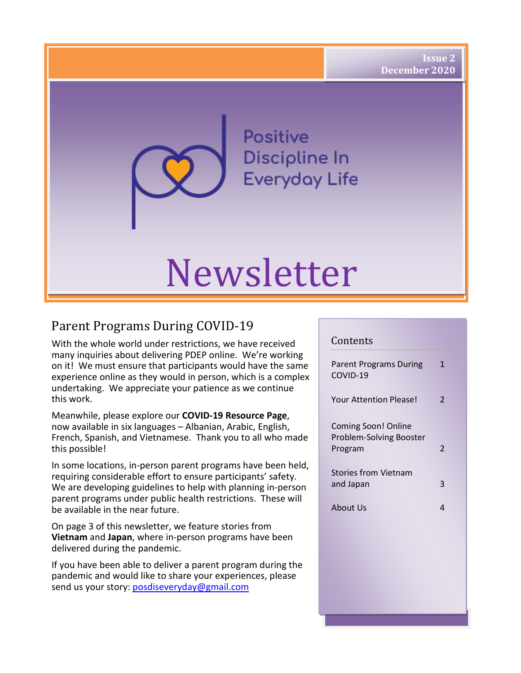Positive Discipline In **Everyday Life** 

# Newsletter

## Parent Programs During COVID-19

With the whole world under restrictions, we have received many inquiries about delivering PDEP online. We're working on it! We must ensure that participants would have the same experience online as they would in person, which is a complex undertaking. We appreciate your patience as we continue this work.

Meanwhile, please explore our **COVID-19 Resource Page**, now available in six languages – Albanian, Arabic, English, French, Spanish, and Vietnamese. Thank you to all who made this possible!

In some locations, in-person parent programs have been held, requiring considerable effort to ensure participants' safety. We are developing guidelines to help with planning in-person parent programs under public health restrictions. These will be available in the near future.

On page 3 of this newsletter, we feature stories from **Vietnam** and **Japan**, where in-person programs have been delivered during the pandemic.

If you have been able to deliver a parent program during the pandemic and would like to share your experiences, please send us your story: posdiseveryday@gmail.com

#### Contents

| Parent Programs During<br>COVID-19 | 1                       |
|------------------------------------|-------------------------|
| <b>Your Attention Please!</b>      | $\overline{\mathbf{c}}$ |
| Coming Soon! Online                |                         |
| Problem-Solving Booster<br>Program | 2                       |
| Stories from Vietnam               |                         |
| and Japan                          | 3                       |
| About Us                           | 4                       |
|                                    |                         |
|                                    |                         |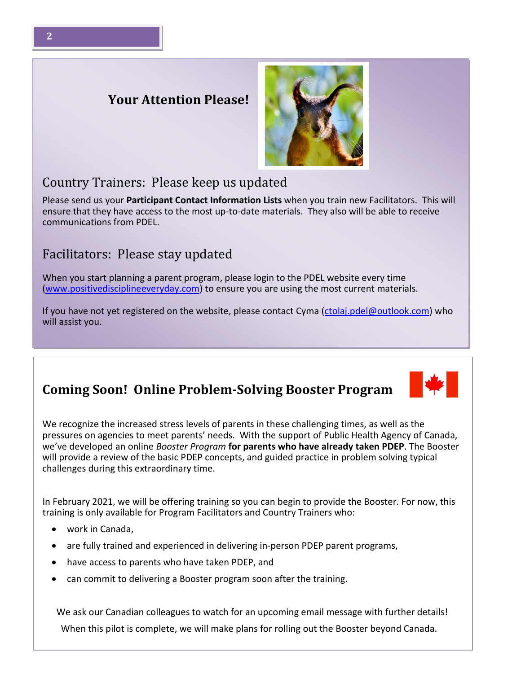### **Your Attention Please!**

#### Country Trainers: Please keep us updated

Please send us your **Participant Contact Information Lists** when you train new Facilitators. This will ensure that they have access to the most up-to-date materials. They also will be able to receive communications from PDEL.

#### Facilitators: Please stay updated

When you start planning a parent program, please login to the PDEL website every time [\(www.positivedisciplineeveryday.com\)](http://www.positivedisciplineeveryday.com/) to ensure you are using the most current materials.

If you have not yet registered on the website, please contact Cyma [\(ctolaj.pdel@outlook.com\)](mailto:ctolaj.pdel@outlook.com) who will assist you.

I

#### **Coming Soon! Online Problem-Solving Booster Program**

We recognize the increased stress levels of parents in these challenging times, as well as the pressures on agencies to meet parents' needs. With the support of Public Health Agency of Canada, we've developed an online *Booster Program* **for parents who have already taken PDEP**. The Booster will provide a review of the basic PDEP concepts, and guided practice in problem solving typical challenges during this extraordinary time.

In February 2021, we will be offering training so you can begin to provide the Booster. For now, this training is only available for Program Facilitators and Country Trainers who:

- work in Canada,
- are fully trained and experienced in delivering in-person PDEP parent programs,
- have access to parents who have taken PDEP, and
- can commit to delivering a Booster program soon after the training.

We ask our Canadian colleagues to watch for an upcoming email message with further details! When this pilot is complete, we will make plans for rolling out the Booster beyond Canada.



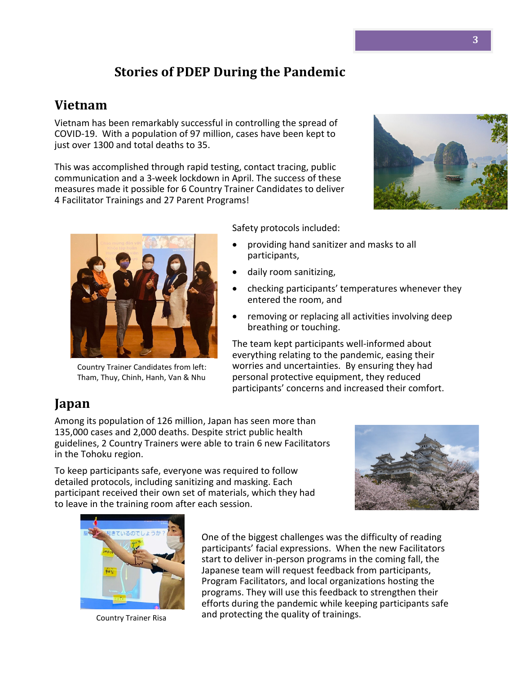## **Stories of PDEP During the Pandemic**

#### **Vietnam**

Vietnam has been remarkably successful in controlling the spread of COVID-19. With a population of 97 million, cases have been kept to just over 1300 and total deaths to 35.

This was accomplished through rapid testing, contact tracing, public communication and a 3-week lockdown in April. The success of these measures made it possible for 6 Country Trainer Candidates to deliver 4 Facilitator Trainings and 27 Parent Programs!





Country Trainer Candidates from left: Tham, Thuy, Chinh, Hanh, Van & Nhu

Safety protocols included:

- providing hand sanitizer and masks to all participants,
- daily room sanitizing,
- checking participants' temperatures whenever they entered the room, and
- removing or replacing all activities involving deep breathing or touching.

The team kept participants well-informed about everything relating to the pandemic, easing their worries and uncertainties. By ensuring they had personal protective equipment, they reduced participants' concerns and increased their comfort.

## **Japan**

Among its population of 126 million, Japan has seen more than 135,000 cases and 2,000 deaths. Despite strict public health guidelines, 2 Country Trainers were able to train 6 new Facilitators in the Tohoku region.

To keep participants safe, everyone was required to follow detailed protocols, including sanitizing and masking. Each participant received their own set of materials, which they had to leave in the training room after each session.





Country Trainer Risa

One of the biggest challenges was the difficulty of reading participants' facial expressions. When the new Facilitators start to deliver in-person programs in the coming fall, the Japanese team will request feedback from participants, Program Facilitators, and local organizations hosting the programs. They will use this feedback to strengthen their efforts during the pandemic while keeping participants safe and protecting the quality of trainings.